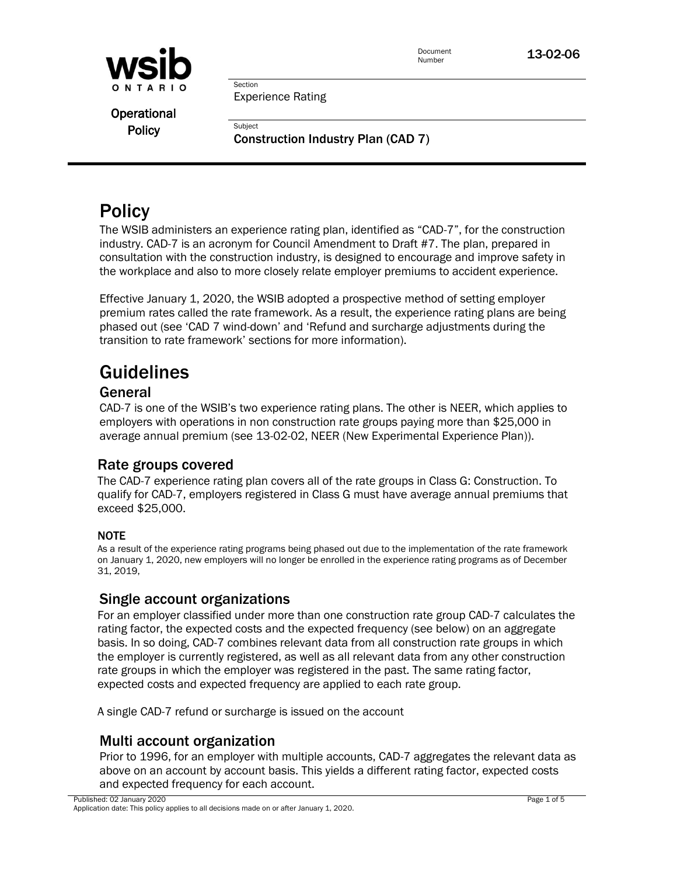

Document **13-02-06**<br>Number

Section Experience Rating

**Subject** 

**Operational Policy** 

Construction Industry Plan (CAD 7)

# **Policy**

The WSIB administers an experience rating plan, identified as "CAD-7", for the construction industry. CAD-7 is an acronym for Council Amendment to Draft #7. The plan, prepared in consultation with the construction industry, is designed to encourage and improve safety in the workplace and also to more closely relate employer premiums to accident experience.

Effective January 1, 2020, the WSIB adopted a prospective method of setting employer premium rates called the rate framework. As a result, the experience rating plans are being phased out (see 'CAD 7 wind-down' and 'Refund and surcharge adjustments during the transition to rate framework' sections for more information).

# Guidelines

### General

CAD-7 is one of the WSIB's two experience rating plans. The other is NEER, which applies to employers with operations in non construction rate groups paying more than \$25,000 in average annual premium (see 13-02-02, NEER (New Experimental Experience Plan)).

### Rate groups covered

The CAD-7 experience rating plan covers all of the rate groups in Class G: Construction. To qualify for CAD-7, employers registered in Class G must have average annual premiums that exceed \$25,000.

#### NOTE

As a result of the experience rating programs being phased out due to the implementation of the rate framework on January 1, 2020, new employers will no longer be enrolled in the experience rating programs as of December 31, 2019,

### Single account organizations

For an employer classified under more than one construction rate group CAD-7 calculates the rating factor, the expected costs and the expected frequency (see below) on an aggregate basis. In so doing, CAD-7 combines relevant data from all construction rate groups in which the employer is currently registered, as well as all relevant data from any other construction rate groups in which the employer was registered in the past. The same rating factor, expected costs and expected frequency are applied to each rate group.

A single CAD-7 refund or surcharge is issued on the account

### Multi account organization

Prior to 1996, for an employer with multiple accounts, CAD-7 aggregates the relevant data as above on an account by account basis. This yields a different rating factor, expected costs and expected frequency for each account.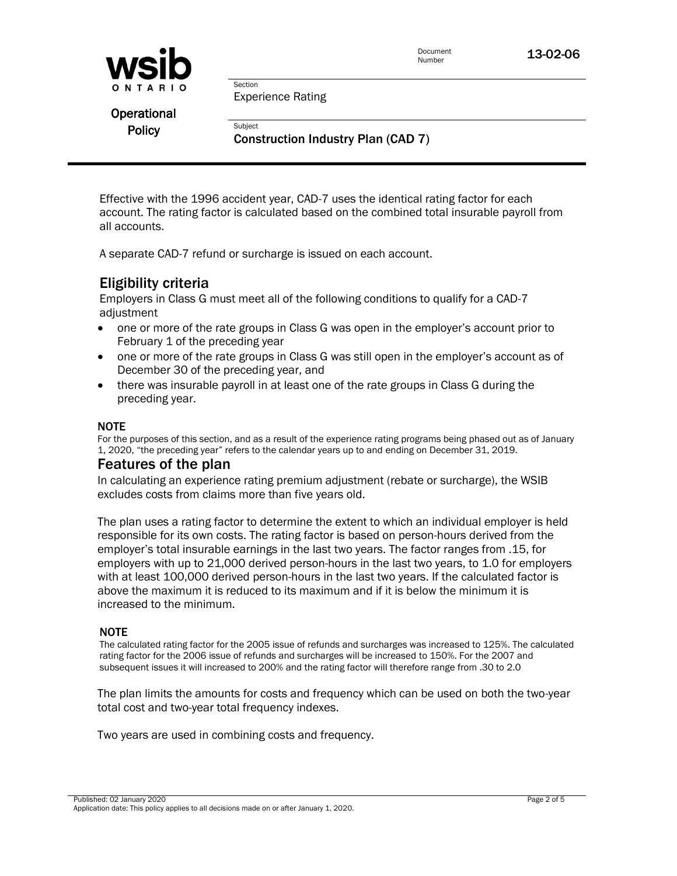

Experience Rating

Section

**Subject** 

**Operational Policy** 

Construction Industry Plan (CAD 7)

Effective with the 1996 accident year, CAD-7 uses the identical rating factor for each account. The rating factor is calculated based on the combined total insurable payroll from all accounts.

A separate CAD-7 refund or surcharge is issued on each account.

### Eligibility criteria

Employers in Class G must meet all of the following conditions to qualify for a CAD-7 adiustment

- one or more of the rate groups in Class G was open in the employer's account prior to February 1 of the preceding year
- one or more of the rate groups in Class G was still open in the employer's account as of December 30 of the preceding year, and
- there was insurable payroll in at least one of the rate groups in Class G during the preceding year.

#### NOTE

For the purposes of this section, and as a result of the experience rating programs being phased out as of January 1, 2020, "the preceding year" refers to the calendar years up to and ending on December 31, 2019.

#### Features of the plan

In calculating an experience rating premium adjustment (rebate or surcharge), the WSIB excludes costs from claims more than five years old.

The plan uses a rating factor to determine the extent to which an individual employer is held responsible for its own costs. The rating factor is based on person-hours derived from the employer's total insurable earnings in the last two years. The factor ranges from .15, for employers with up to 21,000 derived person-hours in the last two years, to 1.0 for employers with at least 100,000 derived person-hours in the last two years. If the calculated factor is above the maximum it is reduced to its maximum and if it is below the minimum it is increased to the minimum.

#### NOTE

The calculated rating factor for the 2005 issue of refunds and surcharges was increased to 125%. The calculated rating factor for the 2006 issue of refunds and surcharges will be increased to 150%. For the 2007 and subsequent issues it will increased to 200% and the rating factor will therefore range from .30 to 2.0

The plan limits the amounts for costs and frequency which can be used on both the two-year total cost and two-year total frequency indexes.

Two years are used in combining costs and frequency.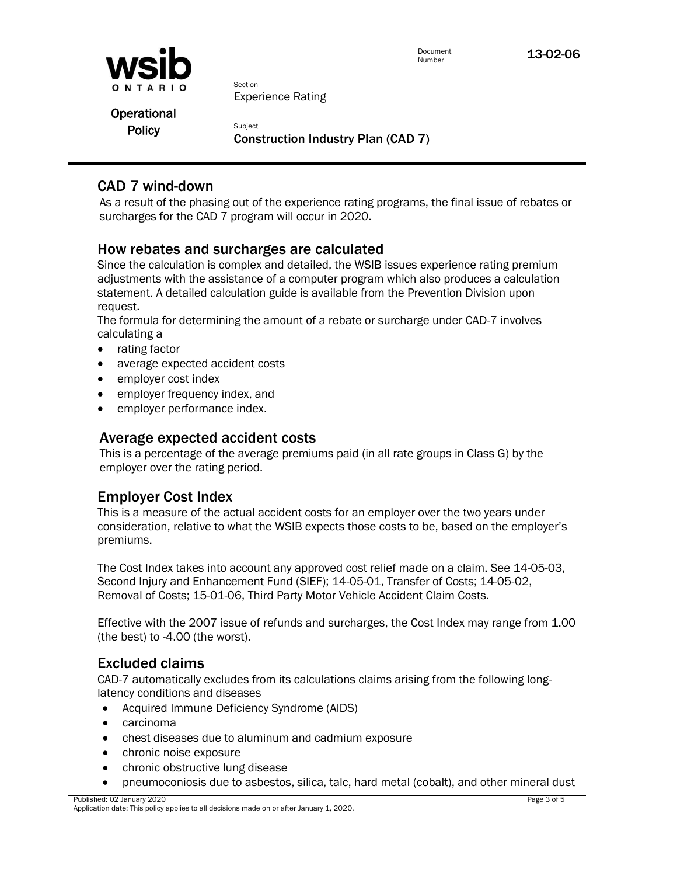

Experience Rating

**Operational Policy** 

Construction Industry Plan (CAD 7)

### CAD 7 wind-down

As a result of the phasing out of the experience rating programs, the final issue of rebates or surcharges for the CAD 7 program will occur in 2020.

### How rebates and surcharges are calculated

Section

**Subject** 

Since the calculation is complex and detailed, the WSIB issues experience rating premium adjustments with the assistance of a computer program which also produces a calculation statement. A detailed calculation guide is available from the Prevention Division upon request.

The formula for determining the amount of a rebate or surcharge under CAD-7 involves calculating a

- rating factor
- average expected accident costs
- employer cost index
- employer frequency index, and
- employer performance index.

#### Average expected accident costs

This is a percentage of the average premiums paid (in all rate groups in Class G) by the employer over the rating period.

### Employer Cost Index

This is a measure of the actual accident costs for an employer over the two years under consideration, relative to what the WSIB expects those costs to be, based on the employer's premiums.

The Cost Index takes into account any approved cost relief made on a claim. See 14-05-03, Second Injury and Enhancement Fund (SIEF); 14-05-01, Transfer of Costs; 14-05-02, Removal of Costs; 15-01-06, Third Party Motor Vehicle Accident Claim Costs.

Effective with the 2007 issue of refunds and surcharges, the Cost Index may range from 1.00 (the best) to -4.00 (the worst).

### Excluded claims

CAD-7 automatically excludes from its calculations claims arising from the following longlatency conditions and diseases

- Acquired Immune Deficiency Syndrome (AIDS)
- carcinoma
- chest diseases due to aluminum and cadmium exposure
- chronic noise exposure
- chronic obstructive lung disease
- pneumoconiosis due to asbestos, silica, talc, hard metal (cobalt), and other mineral dust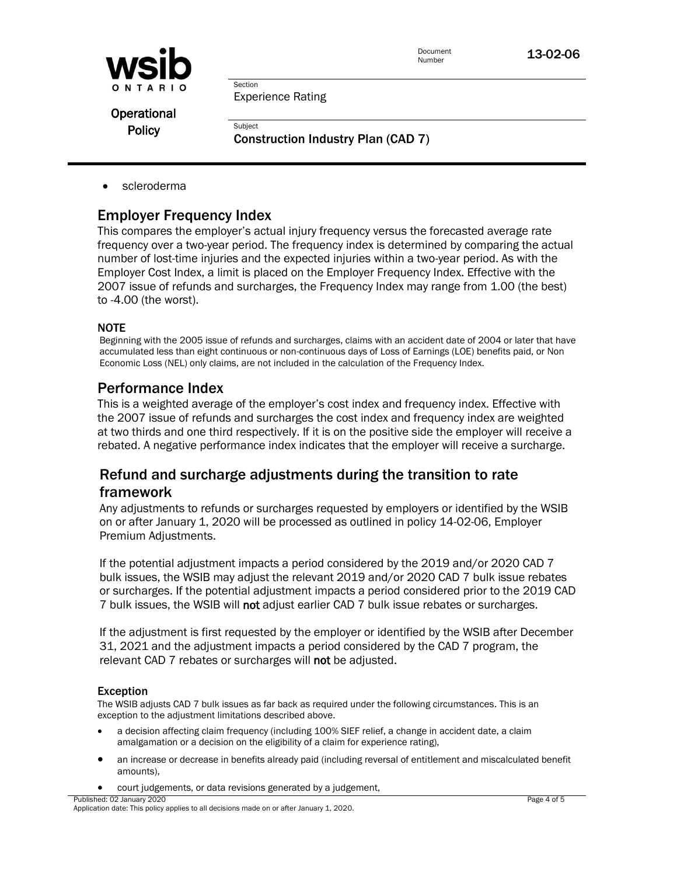

Document **13-02-06**<br>Number

Experience Rating

Section

**Subject** 

**Operational Policy** 

Construction Industry Plan (CAD 7)

scleroderma

### Employer Frequency Index

This compares the employer's actual injury frequency versus the forecasted average rate frequency over a two-year period. The frequency index is determined by comparing the actual number of lost-time injuries and the expected injuries within a two-year period. As with the Employer Cost Index, a limit is placed on the Employer Frequency Index. Effective with the 2007 issue of refunds and surcharges, the Frequency Index may range from 1.00 (the best) to -4.00 (the worst).

#### **NOTE**

Beginning with the 2005 issue of refunds and surcharges, claims with an accident date of 2004 or later that have accumulated less than eight continuous or non-continuous days of Loss of Earnings (LOE) benefits paid, or Non Economic Loss (NEL) only claims, are not included in the calculation of the Frequency Index.

#### Performance Index

This is a weighted average of the employer's cost index and frequency index. Effective with the 2007 issue of refunds and surcharges the cost index and frequency index are weighted at two thirds and one third respectively. If it is on the positive side the employer will receive a rebated. A negative performance index indicates that the employer will receive a surcharge.

### Refund and surcharge adjustments during the transition to rate framework

Any adjustments to refunds or surcharges requested by employers or identified by the WSIB on or after January 1, 2020 will be processed as outlined in policy 14-02-06, Employer Premium Adjustments.

If the potential adjustment impacts a period considered by the 2019 and/or 2020 CAD 7 bulk issues, the WSIB may adjust the relevant 2019 and/or 2020 CAD 7 bulk issue rebates or surcharges. If the potential adjustment impacts a period considered prior to the 2019 CAD 7 bulk issues, the WSIB will not adjust earlier CAD 7 bulk issue rebates or surcharges.

If the adjustment is first requested by the employer or identified by the WSIB after December 31, 2021 and the adjustment impacts a period considered by the CAD 7 program, the relevant CAD 7 rebates or surcharges will not be adjusted.

#### Exception

The WSIB adjusts CAD 7 bulk issues as far back as required under the following circumstances. This is an exception to the adjustment limitations described above.

- a decision affecting claim frequency (including 100% SIEF relief, a change in accident date, a claim amalgamation or a decision on the eligibility of a claim for experience rating),
- an increase or decrease in benefits already paid (including reversal of entitlement and miscalculated benefit amounts),
	- court judgements, or data revisions generated by a judgement,